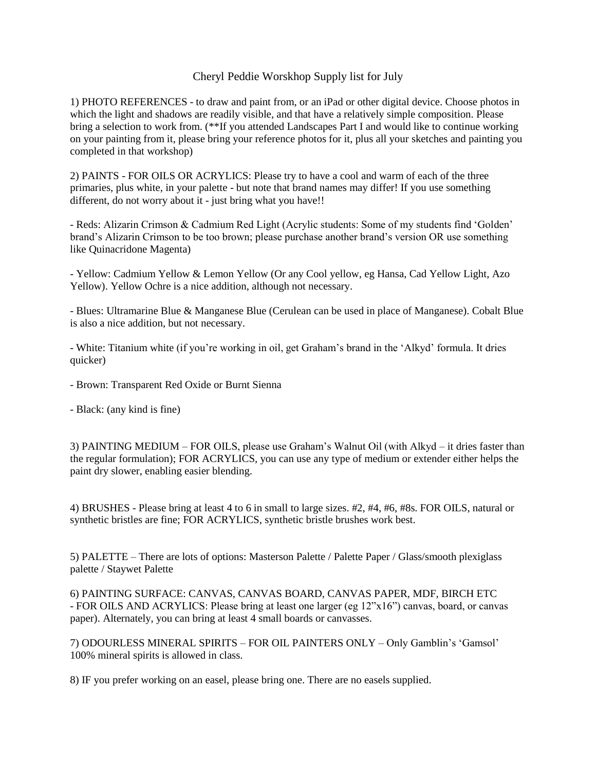## Cheryl Peddie Worskhop Supply list for July

1) PHOTO REFERENCES - to draw and paint from, or an iPad or other digital device. Choose photos in which the light and shadows are readily visible, and that have a relatively simple composition. Please bring a selection to work from. (\*\*If you attended Landscapes Part I and would like to continue working on your painting from it, please bring your reference photos for it, plus all your sketches and painting you completed in that workshop)

2) PAINTS - FOR OILS OR ACRYLICS: Please try to have a cool and warm of each of the three primaries, plus white, in your palette - but note that brand names may differ! If you use something different, do not worry about it - just bring what you have!!

- Reds: Alizarin Crimson & Cadmium Red Light (Acrylic students: Some of my students find 'Golden' brand's Alizarin Crimson to be too brown; please purchase another brand's version OR use something like Quinacridone Magenta)

- Yellow: Cadmium Yellow & Lemon Yellow (Or any Cool yellow, eg Hansa, Cad Yellow Light, Azo Yellow). Yellow Ochre is a nice addition, although not necessary.

- Blues: Ultramarine Blue & Manganese Blue (Cerulean can be used in place of Manganese). Cobalt Blue is also a nice addition, but not necessary.

- White: Titanium white (if you're working in oil, get Graham's brand in the 'Alkyd' formula. It dries quicker)

- Brown: Transparent Red Oxide or Burnt Sienna

- Black: (any kind is fine)

3) PAINTING MEDIUM – FOR OILS, please use Graham's Walnut Oil (with Alkyd – it dries faster than the regular formulation); FOR ACRYLICS, you can use any type of medium or extender either helps the paint dry slower, enabling easier blending.

4) BRUSHES - Please bring at least 4 to 6 in small to large sizes. #2, #4, #6, #8s. FOR OILS, natural or synthetic bristles are fine; FOR ACRYLICS, synthetic bristle brushes work best.

5) PALETTE – There are lots of options: Masterson Palette / Palette Paper / Glass/smooth plexiglass palette / Staywet Palette

6) PAINTING SURFACE: CANVAS, CANVAS BOARD, CANVAS PAPER, MDF, BIRCH ETC - FOR OILS AND ACRYLICS: Please bring at least one larger (eg 12"x16") canvas, board, or canvas paper). Alternately, you can bring at least 4 small boards or canvasses.

7) ODOURLESS MINERAL SPIRITS – FOR OIL PAINTERS ONLY – Only Gamblin's 'Gamsol' 100% mineral spirits is allowed in class.

8) IF you prefer working on an easel, please bring one. There are no easels supplied.